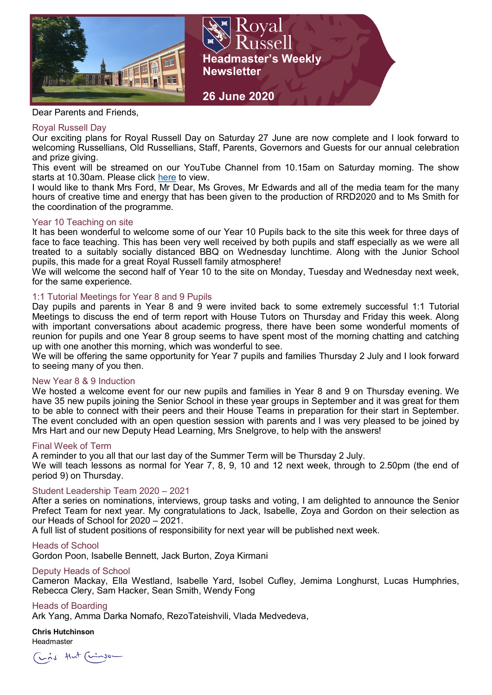

Kova 11 -<br>11 - 11 -**Headmaster's Weekly Newsletter** 



### Royal Russell Day

Our exciting plans for Royal Russell Day on Saturday 27 June are now complete and I look forward to welcoming Russellians, Old Russellians, Staff, Parents, Governors and Guests for our annual celebration and prize giving.

**26 June 2020**

This event will be streamed on our YouTube Channel from 10.15am on Saturday morning. The show starts at 10.30am. Please click [here](https://www.youtube.com/channel/UC-Fvldp-RqPRLDftxzFcWRA) to view.

I would like to thank Mrs Ford, Mr Dear, Ms Groves, Mr Edwards and all of the media team for the many hours of creative time and energy that has been given to the production of RRD2020 and to Ms Smith for the coordination of the programme.

# Year 10 Teaching on site

It has been wonderful to welcome some of our Year 10 Pupils back to the site this week for three days of face to face teaching. This has been very well received by both pupils and staff especially as we were all treated to a suitably socially distanced BBQ on Wednesday lunchtime. Along with the Junior School pupils, this made for a great Royal Russell family atmosphere!

We will welcome the second half of Year 10 to the site on Monday, Tuesday and Wednesday next week, for the same experience.

# 1:1 Tutorial Meetings for Year 8 and 9 Pupils

Day pupils and parents in Year 8 and 9 were invited back to some extremely successful 1:1 Tutorial Meetings to discuss the end of term report with House Tutors on Thursday and Friday this week. Along with important conversations about academic progress, there have been some wonderful moments of reunion for pupils and one Year 8 group seems to have spent most of the morning chatting and catching up with one another this morning, which was wonderful to see.

We will be offering the same opportunity for Year 7 pupils and families Thursday 2 July and I look forward to seeing many of you then.

### New Year 8 & 9 Induction

We hosted a welcome event for our new pupils and families in Year 8 and 9 on Thursday evening. We have 35 new pupils joining the Senior School in these year groups in September and it was great for them to be able to connect with their peers and their House Teams in preparation for their start in September. The event concluded with an open question session with parents and I was very pleased to be joined by Mrs Hart and our new Deputy Head Learning, Mrs Snelgrove, to help with the answers!

### Final Week of Term

A reminder to you all that our last day of the Summer Term will be Thursday 2 July.

We will teach lessons as normal for Year 7, 8, 9, 10 and 12 next week, through to 2.50pm (the end of period 9) on Thursday.

### Student Leadership Team 2020 – 2021

After a series on nominations, interviews, group tasks and voting, I am delighted to announce the Senior Prefect Team for next year. My congratulations to Jack, Isabelle, Zoya and Gordon on their selection as our Heads of School for 2020 – 2021.

A full list of student positions of responsibility for next year will be published next week.

### Heads of School

Gordon Poon, Isabelle Bennett, Jack Burton, Zoya Kirmani

### Deputy Heads of School

Cameron Mackay, Ella Westland, Isabelle Yard, Isobel Cufley, Jemima Longhurst, Lucas Humphries, Rebecca Clery, Sam Hacker, Sean Smith, Wendy Fong

### Heads of Boarding

Ark Yang, Amma Darka Nomafo, RezoTateishvili, Vlada Medvedeva,

**Chris Hutchinson**  Headmaster

Lis that (Linson